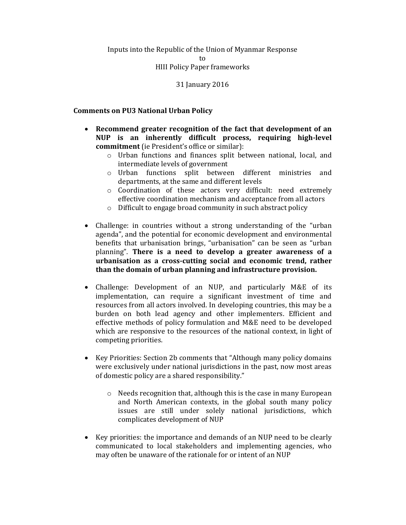# Inputs into the Republic of the Union of Myanmar Response

to

#### HIII Policy Paper frameworks

## 31 January 2016

## Comments on PU3 National Urban Policy

- Recommend greater recognition of the fact that development of an NUP is an inherently difficult process, requiring high-level commitment (ie President's office or similar):
	- o Urban functions and finances split between national, local, and intermediate levels of government
	- o Urban functions split between different ministries and departments, at the same and different levels
	- o Coordination of these actors very difficult: need extremely effective coordination mechanism and acceptance from all actors
	- o Difficult to engage broad community in such abstract policy
- Challenge: in countries without a strong understanding of the "urban agenda", and the potential for economic development and environmental benefits that urbanisation brings, "urbanisation" can be seen as "urban planning". There is a need to develop a greater awareness of a urbanisation as a cross-cutting social and economic trend, rather than the domain of urban planning and infrastructure provision.
- Challenge: Development of an NUP, and particularly M&E of its implementation, can require a significant investment of time and resources from all actors involved. In developing countries, this may be a burden on both lead agency and other implementers. Efficient and effective methods of policy formulation and M&E need to be developed which are responsive to the resources of the national context, in light of competing priorities.
- Key Priorities: Section 2b comments that "Although many policy domains" were exclusively under national jurisdictions in the past, now most areas of domestic policy are a shared responsibility."
	- o Needs recognition that, although this is the case in many European and North American contexts, in the global south many policy issues are still under solely national jurisdictions, which complicates development of NUP
- Key priorities: the importance and demands of an NUP need to be clearly communicated to local stakeholders and implementing agencies, who may often be unaware of the rationale for or intent of an NUP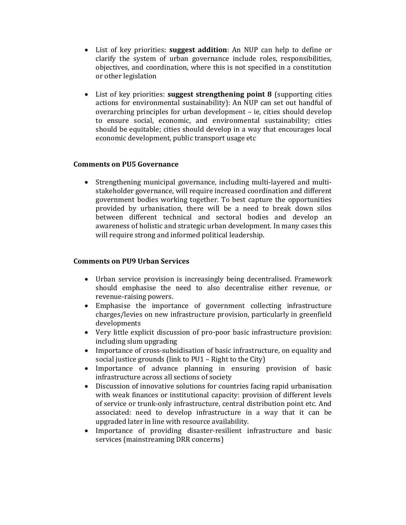- List of key priorities: suggest addition: An NUP can help to define or clarify the system of urban governance include roles, responsibilities, objectives, and coordination, where this is not specified in a constitution or other legislation
- List of key priorities: suggest strengthening point 8 (supporting cities actions for environmental sustainability): An NUP can set out handful of overarching principles for urban development – ie, cities should develop to ensure social, economic, and environmental sustainability; cities should be equitable; cities should develop in a way that encourages local economic development, public transport usage etc

## Comments on PU5 Governance

 Strengthening municipal governance, including multi-layered and multistakeholder governance, will require increased coordination and different government bodies working together. To best capture the opportunities provided by urbanisation, there will be a need to break down silos between different technical and sectoral bodies and develop an awareness of holistic and strategic urban development. In many cases this will require strong and informed political leadership.

#### Comments on PU9 Urban Services

- Urban service provision is increasingly being decentralised. Framework should emphasise the need to also decentralise either revenue, or revenue-raising powers.
- Emphasise the importance of government collecting infrastructure charges/levies on new infrastructure provision, particularly in greenfield developments
- Very little explicit discussion of pro-poor basic infrastructure provision: including slum upgrading
- Importance of cross-subsidisation of basic infrastructure, on equality and social justice grounds (link to PU1 – Right to the City)
- Importance of advance planning in ensuring provision of basic infrastructure across all sections of society
- Discussion of innovative solutions for countries facing rapid urbanisation with weak finances or institutional capacity: provision of different levels of service or trunk-only infrastructure, central distribution point etc. And associated: need to develop infrastructure in a way that it can be upgraded later in line with resource availability.
- Importance of providing disaster-resilient infrastructure and basic services (mainstreaming DRR concerns)